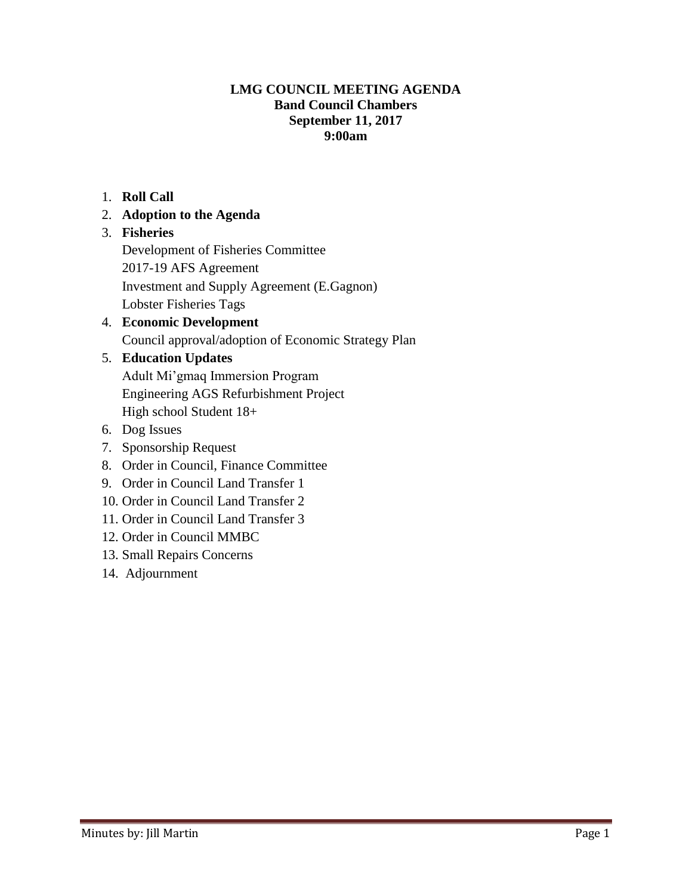# **LMG COUNCIL MEETING AGENDA Band Council Chambers September 11, 2017 9:00am**

# 1. **Roll Call**

2. **Adoption to the Agenda** 

# 3. **Fisheries**

Development of Fisheries Committee 2017-19 AFS Agreement Investment and Supply Agreement (E.Gagnon) Lobster Fisheries Tags

# 4. **Economic Development**  Council approval/adoption of Economic Strategy Plan

# 5. **Education Updates**

- Adult Mi'gmaq Immersion Program Engineering AGS Refurbishment Project High school Student 18+
- 6. Dog Issues
- 7. Sponsorship Request
- 8. Order in Council, Finance Committee
- 9. Order in Council Land Transfer 1
- 10. Order in Council Land Transfer 2
- 11. Order in Council Land Transfer 3
- 12. Order in Council MMBC
- 13. Small Repairs Concerns
- 14. Adjournment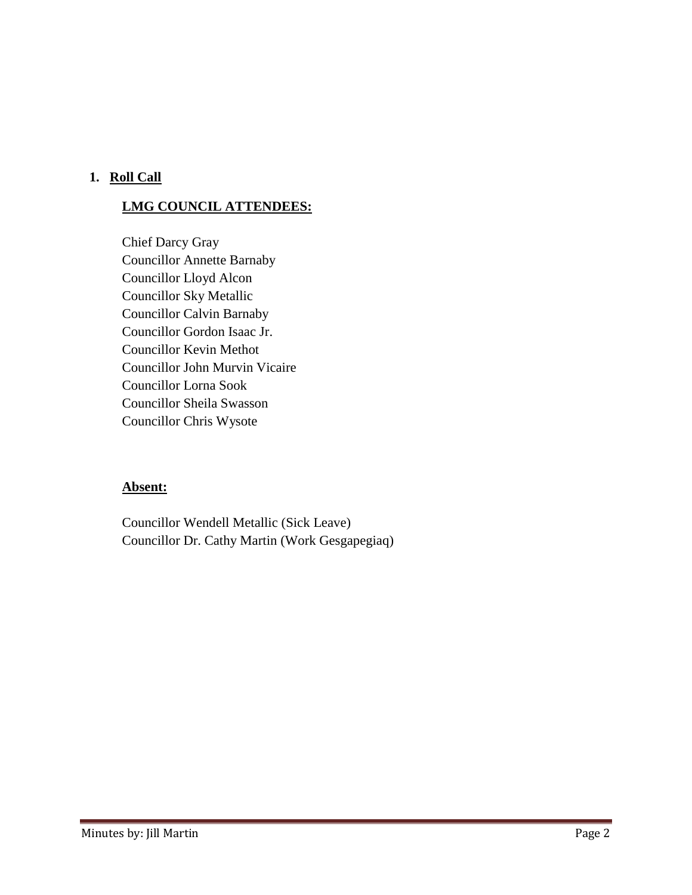# **1. Roll Call**

# **LMG COUNCIL ATTENDEES:**

Chief Darcy Gray Councillor Annette Barnaby Councillor Lloyd Alcon Councillor Sky Metallic Councillor Calvin Barnaby Councillor Gordon Isaac Jr. Councillor Kevin Methot Councillor John Murvin Vicaire Councillor Lorna Sook Councillor Sheila Swasson Councillor Chris Wysote

# **Absent:**

Councillor Wendell Metallic (Sick Leave) Councillor Dr. Cathy Martin (Work Gesgapegiaq)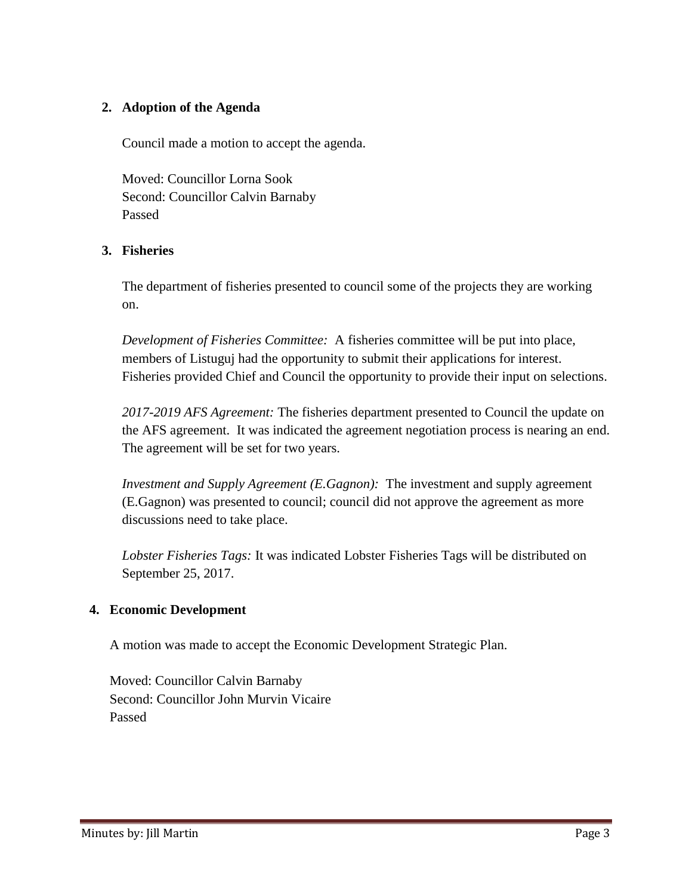# **2. Adoption of the Agenda**

Council made a motion to accept the agenda.

Moved: Councillor Lorna Sook Second: Councillor Calvin Barnaby Passed

### **3. Fisheries**

The department of fisheries presented to council some of the projects they are working on.

*Development of Fisheries Committee:* A fisheries committee will be put into place, members of Listuguj had the opportunity to submit their applications for interest. Fisheries provided Chief and Council the opportunity to provide their input on selections.

*2017-2019 AFS Agreement:* The fisheries department presented to Council the update on the AFS agreement. It was indicated the agreement negotiation process is nearing an end. The agreement will be set for two years.

*Investment and Supply Agreement (E.Gagnon):* The investment and supply agreement (E.Gagnon) was presented to council; council did not approve the agreement as more discussions need to take place.

*Lobster Fisheries Tags:* It was indicated Lobster Fisheries Tags will be distributed on September 25, 2017.

### **4. Economic Development**

A motion was made to accept the Economic Development Strategic Plan.

Moved: Councillor Calvin Barnaby Second: Councillor John Murvin Vicaire Passed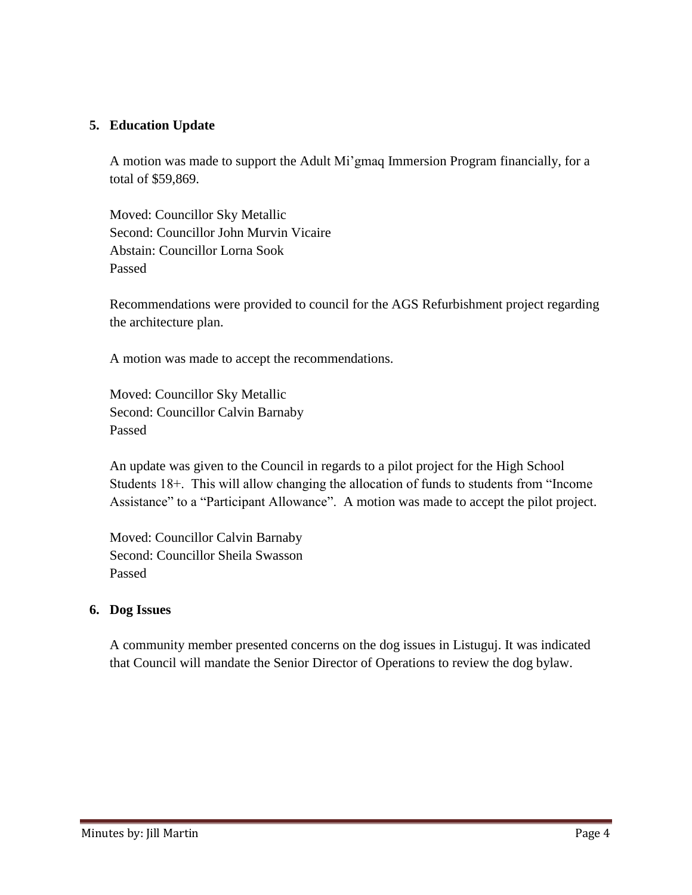#### **5. Education Update**

A motion was made to support the Adult Mi'gmaq Immersion Program financially, for a total of \$59,869.

Moved: Councillor Sky Metallic Second: Councillor John Murvin Vicaire Abstain: Councillor Lorna Sook Passed

Recommendations were provided to council for the AGS Refurbishment project regarding the architecture plan.

A motion was made to accept the recommendations.

Moved: Councillor Sky Metallic Second: Councillor Calvin Barnaby Passed

An update was given to the Council in regards to a pilot project for the High School Students 18+. This will allow changing the allocation of funds to students from "Income Assistance" to a "Participant Allowance". A motion was made to accept the pilot project.

Moved: Councillor Calvin Barnaby Second: Councillor Sheila Swasson Passed

#### **6. Dog Issues**

A community member presented concerns on the dog issues in Listuguj. It was indicated that Council will mandate the Senior Director of Operations to review the dog bylaw.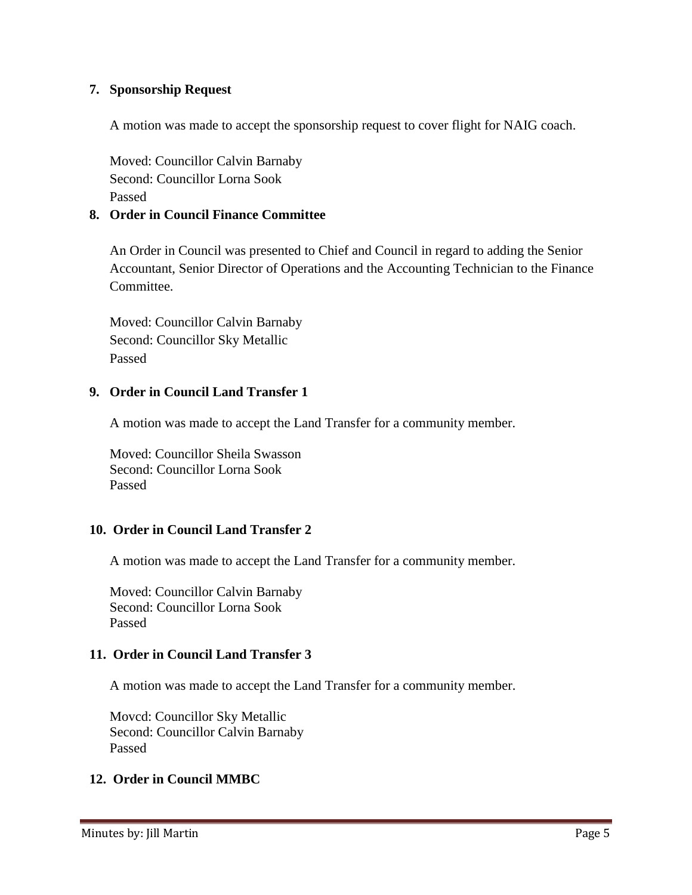#### **7. Sponsorship Request**

A motion was made to accept the sponsorship request to cover flight for NAIG coach.

Moved: Councillor Calvin Barnaby Second: Councillor Lorna Sook Passed

#### **8. Order in Council Finance Committee**

An Order in Council was presented to Chief and Council in regard to adding the Senior Accountant, Senior Director of Operations and the Accounting Technician to the Finance Committee.

Moved: Councillor Calvin Barnaby Second: Councillor Sky Metallic Passed

#### **9. Order in Council Land Transfer 1**

A motion was made to accept the Land Transfer for a community member.

Moved: Councillor Sheila Swasson Second: Councillor Lorna Sook Passed

### **10. Order in Council Land Transfer 2**

A motion was made to accept the Land Transfer for a community member.

Moved: Councillor Calvin Barnaby Second: Councillor Lorna Sook Passed

#### **11. Order in Council Land Transfer 3**

A motion was made to accept the Land Transfer for a community member.

Movcd: Councillor Sky Metallic Second: Councillor Calvin Barnaby Passed

### **12. Order in Council MMBC**